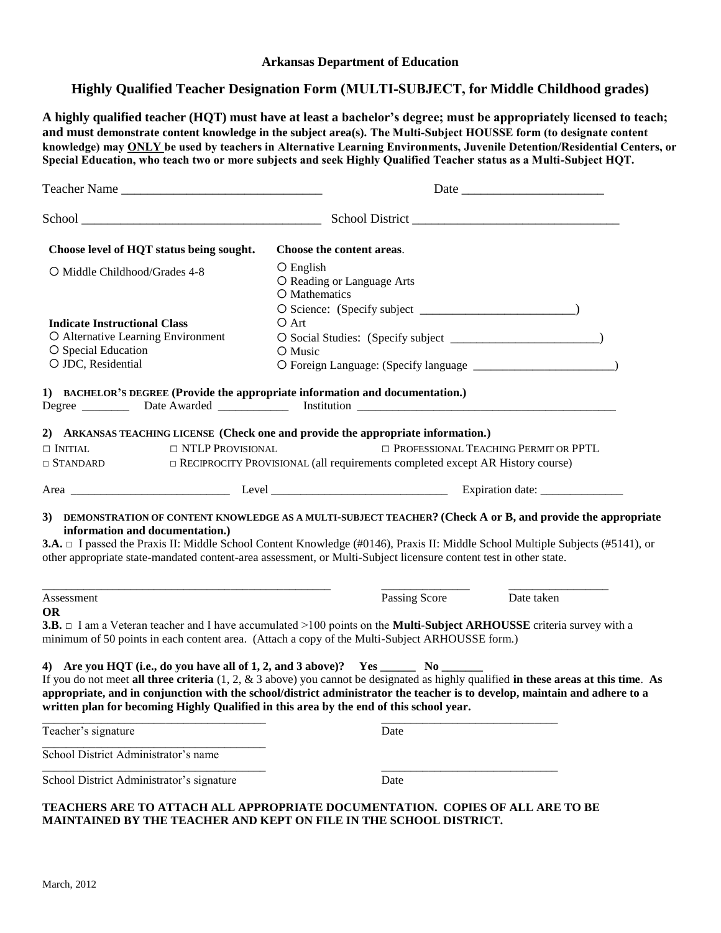#### **Arkansas Department of Education**

## **Highly Qualified Teacher Designation Form (MULTI-SUBJECT, for Middle Childhood grades)**

**A highly qualified teacher (HQT) must have at least a bachelor's degree; must be appropriately licensed to teach; and must demonstrate content knowledge in the subject area(s). The Multi-Subject HOUSSE form (to designate content knowledge) may ONLY be used by teachers in Alternative Learning Environments, Juvenile Detention/Residential Centers, or Special Education, who teach two or more subjects and seek Highly Qualified Teacher status as a Multi-Subject HQT.**

| Teacher Name                                                                                                           |                                                                                                                                                                                                                                                                                                                                                                                                                                                                                                                      |
|------------------------------------------------------------------------------------------------------------------------|----------------------------------------------------------------------------------------------------------------------------------------------------------------------------------------------------------------------------------------------------------------------------------------------------------------------------------------------------------------------------------------------------------------------------------------------------------------------------------------------------------------------|
|                                                                                                                        |                                                                                                                                                                                                                                                                                                                                                                                                                                                                                                                      |
| Choose level of HQT status being sought.                                                                               | Choose the content areas.                                                                                                                                                                                                                                                                                                                                                                                                                                                                                            |
| O Middle Childhood/Grades 4-8                                                                                          | O English<br>O Reading or Language Arts<br>O Mathematics                                                                                                                                                                                                                                                                                                                                                                                                                                                             |
| <b>Indicate Instructional Class</b><br>O Alternative Learning Environment<br>O Special Education<br>O JDC, Residential | $O$ Art<br>O Music                                                                                                                                                                                                                                                                                                                                                                                                                                                                                                   |
| 1) BACHELOR'S DEGREE (Provide the appropriate information and documentation.)                                          |                                                                                                                                                                                                                                                                                                                                                                                                                                                                                                                      |
| $\Box$ NTLP PROVISIONAL<br>$\Box$ Initial<br>$\Box$ Standard<br>information and documentation.)                        | <b>ID PROFESSIONAL TEACHING PERMIT OR PPTL</b><br>$\Box$ RECIPROCITY PROVISIONAL (all requirements completed except AR History course)<br>3) DEMONSTRATION OF CONTENT KNOWLEDGE AS A MULTI-SUBJECT TEACHER? (Check A or B, and provide the appropriate<br><b>3.A.</b> □ I passed the Praxis II: Middle School Content Knowledge (#0146), Praxis II: Middle School Multiple Subjects (#5141), or<br>other appropriate state-mandated content-area assessment, or Multi-Subject licensure content test in other state. |
| Assessment<br><b>OR</b>                                                                                                | Passing Score<br>Date taken<br><b>3.B.</b> $\Box$ I am a Veteran teacher and I have accumulated >100 points on the <b>Multi-Subject ARHOUSSE</b> criteria survey with a<br>minimum of 50 points in each content area. (Attach a copy of the Multi-Subject ARHOUSSE form.)                                                                                                                                                                                                                                            |
| 4) Are you HQT (i.e., do you have all of 1, 2, and 3 above)? Yes _______ No ______                                     | If you do not meet all three criteria $(1, 2, \& 3$ above) you cannot be designated as highly qualified in these areas at this time. As<br>appropriate, and in conjunction with the school/district administrator the teacher is to develop, maintain and adhere to a<br>written plan for becoming Highly Qualified in this area by the end of this school year.                                                                                                                                                     |
| Teacher's signature                                                                                                    | Date                                                                                                                                                                                                                                                                                                                                                                                                                                                                                                                 |
| School District Administrator's name                                                                                   |                                                                                                                                                                                                                                                                                                                                                                                                                                                                                                                      |
| School District Administrator's signature                                                                              | Date                                                                                                                                                                                                                                                                                                                                                                                                                                                                                                                 |

#### **TEACHERS ARE TO ATTACH ALL APPROPRIATE DOCUMENTATION. COPIES OF ALL ARE TO BE MAINTAINED BY THE TEACHER AND KEPT ON FILE IN THE SCHOOL DISTRICT.**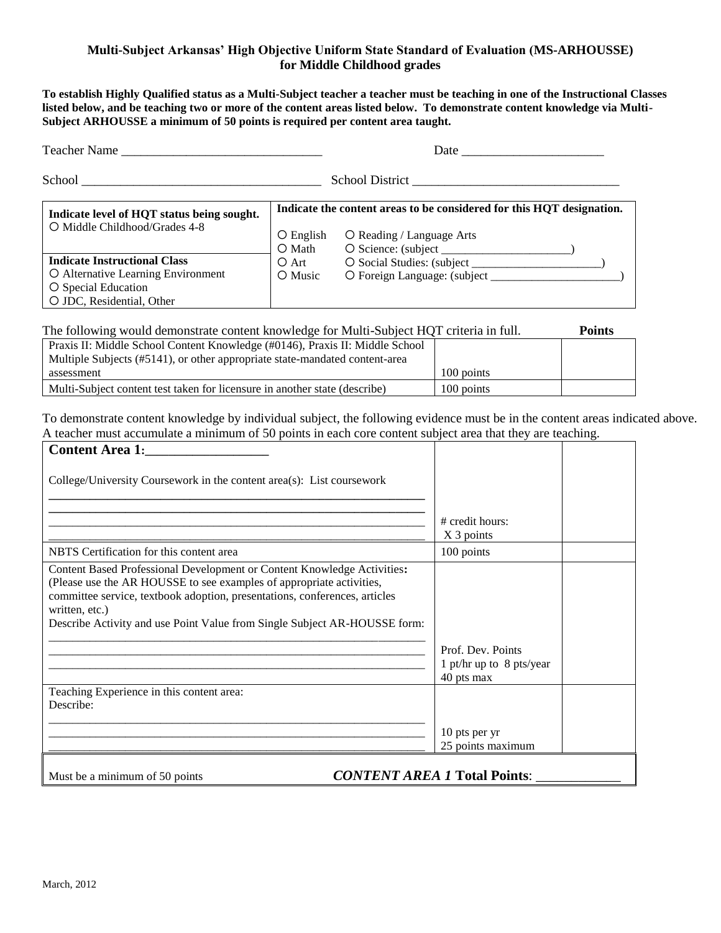### **Multi-Subject Arkansas' High Objective Uniform State Standard of Evaluation (MS-ARHOUSSE) for Middle Childhood grades**

**To establish Highly Qualified status as a Multi-Subject teacher a teacher must be teaching in one of the Instructional Classes listed below, and be teaching two or more of the content areas listed below. To demonstrate content knowledge via Multi-Subject ARHOUSSE a minimum of 50 points is required per content area taught.** 

| Teacher Name                                                                |                              | Date $\qquad \qquad$                                                  |  |
|-----------------------------------------------------------------------------|------------------------------|-----------------------------------------------------------------------|--|
|                                                                             |                              | School District                                                       |  |
| Indicate level of HQT status being sought.<br>O Middle Childhood/Grades 4-8 |                              | Indicate the content areas to be considered for this HQT designation. |  |
|                                                                             | $\bigcirc$ English<br>O Math | O Reading / Language Arts                                             |  |
| <b>Indicate Instructional Class</b>                                         | $O$ Art                      |                                                                       |  |
| O Alternative Learning Environment                                          | $\bigcirc$ Music             |                                                                       |  |
| O Special Education                                                         |                              |                                                                       |  |
| O JDC, Residential, Other                                                   |                              |                                                                       |  |

| The following would demonstrate content knowledge for Multi-Subject HQT criteria in full. |            |  |
|-------------------------------------------------------------------------------------------|------------|--|
| Praxis II: Middle School Content Knowledge (#0146), Praxis II: Middle School              |            |  |
| Multiple Subjects (#5141), or other appropriate state-mandated content-area               |            |  |
| assessment                                                                                | 100 points |  |
| Multi-Subject content test taken for licensure in another state (describe)                | 100 points |  |

To demonstrate content knowledge by individual subject, the following evidence must be in the content areas indicated above. A teacher must accumulate a minimum of 50 points in each core content subject area that they are teaching.

| <b>Content Area 1:</b>                                                                                                                                                                                                                                                                                                       |                                                             |
|------------------------------------------------------------------------------------------------------------------------------------------------------------------------------------------------------------------------------------------------------------------------------------------------------------------------------|-------------------------------------------------------------|
| College/University Coursework in the content area(s): List coursework                                                                                                                                                                                                                                                        |                                                             |
|                                                                                                                                                                                                                                                                                                                              | # credit hours:<br>X 3 points                               |
| NBTS Certification for this content area                                                                                                                                                                                                                                                                                     | 100 points                                                  |
| Content Based Professional Development or Content Knowledge Activities:<br>(Please use the AR HOUSSE to see examples of appropriate activities,<br>committee service, textbook adoption, presentations, conferences, articles<br>written, etc.)<br>Describe Activity and use Point Value from Single Subject AR-HOUSSE form: | Prof. Dev. Points<br>1 pt/hr up to 8 pts/year<br>40 pts max |
| Teaching Experience in this content area:                                                                                                                                                                                                                                                                                    |                                                             |
| Describe:                                                                                                                                                                                                                                                                                                                    |                                                             |
|                                                                                                                                                                                                                                                                                                                              | 10 pts per yr<br>25 points maximum                          |
| Must be a minimum of 50 points                                                                                                                                                                                                                                                                                               | <b>CONTENT AREA 1 Total Points:</b>                         |